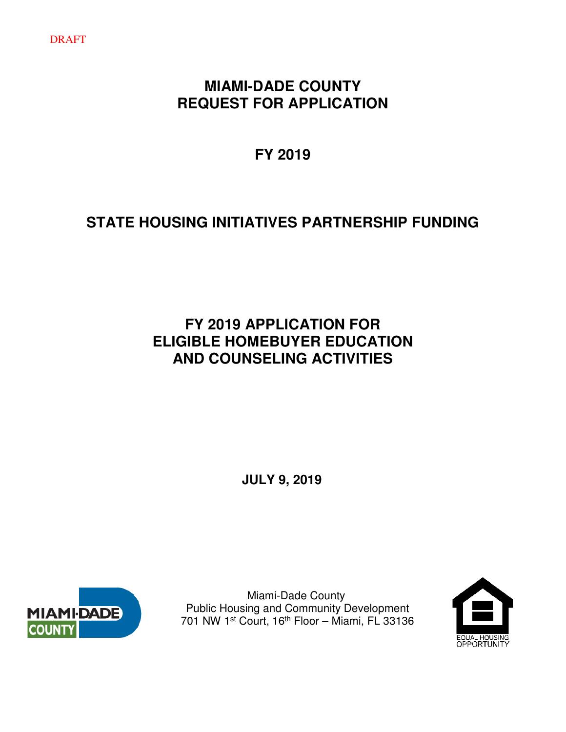## **MIAMI-DADE COUNTY REQUEST FOR APPLICATION**

**FY 2019** 

# **STATE HOUSING INITIATIVES PARTNERSHIP FUNDING**

## **FY 2019 APPLICATION FOR ELIGIBLE HOMEBUYER EDUCATION AND COUNSELING ACTIVITIES**

**JULY 9, 2019**



 Miami-Dade County Public Housing and Community Development 701 NW 1st Court, 16th Floor – Miami, FL 33136

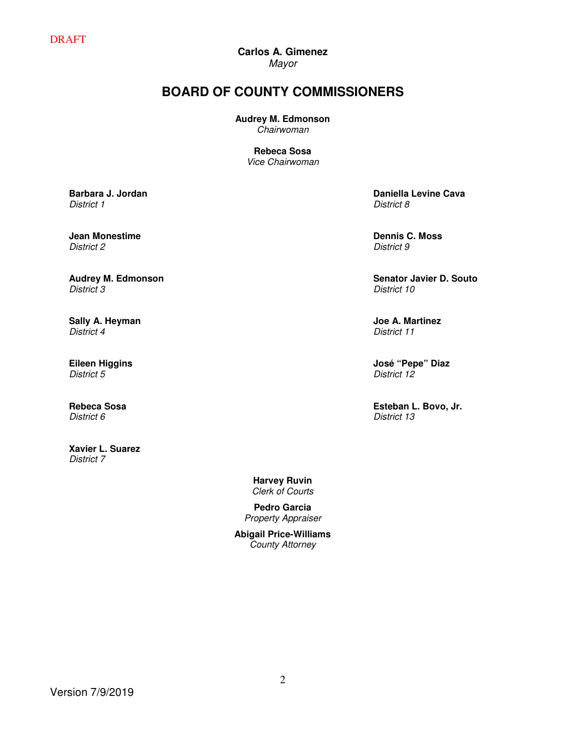# **Carlos A. Gimenez**

Mayor

## **BOARD OF COUNTY COMMISSIONERS**

**Audrey M. Edmonson**

Chairwoman

**Rebeca Sosa** Vice Chairwoman

**Barbara J. Jordan** District 1

**Jean Monestime**  District 2

**Audrey M. Edmonson** District 3

**Sally A. Heyman** District 4

**Eileen Higgins** District 5

**Rebeca Sosa** District 6

**Xavier L. Suarez**  District 7

**Daniella Levine Cava** District 8

**Dennis C. Moss** District 9

**Senator Javier D. Souto** District 10

**Joe A. Martinez** District 11

**José "Pepe" Diaz** District 12

**Esteban L. Bovo, Jr.**  District 13

**Harvey Ruvin**  Clerk of Courts

**Pedro Garcia**  Property Appraiser

**Abigail Price-Williams**  County Attorney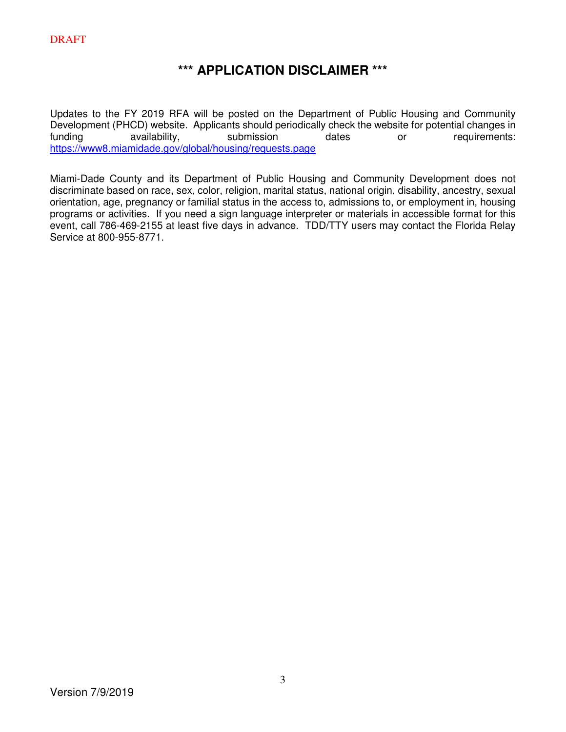## **\*\*\* APPLICATION DISCLAIMER \*\*\***

Updates to the FY 2019 RFA will be posted on the Department of Public Housing and Community Development (PHCD) website. Applicants should periodically check the website for potential changes in<br>funding availability, submission dates or requirements: funding availability, submission dates or requirements: https://www8.miamidade.gov/global/housing/requests.page

Miami-Dade County and its Department of Public Housing and Community Development does not discriminate based on race, sex, color, religion, marital status, national origin, disability, ancestry, sexual orientation, age, pregnancy or familial status in the access to, admissions to, or employment in, housing programs or activities. If you need a sign language interpreter or materials in accessible format for this event, call 786-469-2155 at least five days in advance. TDD/TTY users may contact the Florida Relay Service at 800-955-8771.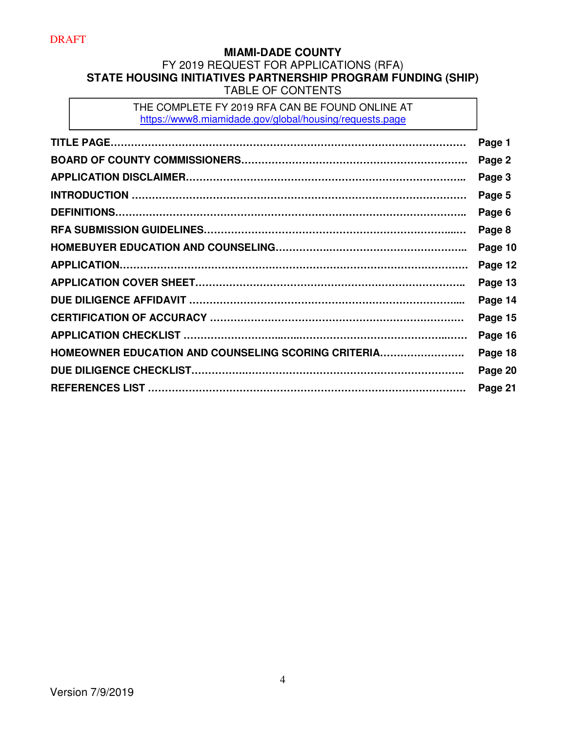## **MIAMI-DADE COUNTY**  FY 2019 REQUEST FOR APPLICATIONS (RFA) **STATE HOUSING INITIATIVES PARTNERSHIP PROGRAM FUNDING (SHIP)**  TABLE OF CONTENTS

THE COMPLETE FY 2019 RFA CAN BE FOUND ONLINE AT https://www8.miamidade.gov/global/housing/requests.page

|                                                     | Page 1  |
|-----------------------------------------------------|---------|
|                                                     | Page 2  |
|                                                     | Page 3  |
|                                                     | Page 5  |
|                                                     | Page 6  |
|                                                     | Page 8  |
|                                                     | Page 10 |
|                                                     | Page 12 |
|                                                     | Page 13 |
|                                                     | Page 14 |
|                                                     | Page 15 |
|                                                     | Page 16 |
| HOMEOWNER EDUCATION AND COUNSELING SCORING CRITERIA | Page 18 |
|                                                     | Page 20 |
|                                                     | Page 21 |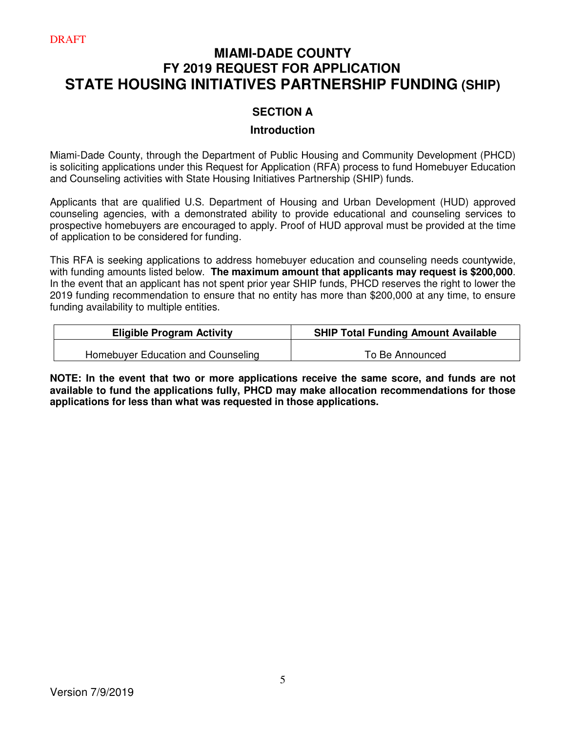## **MIAMI-DADE COUNTY FY 2019 REQUEST FOR APPLICATION STATE HOUSING INITIATIVES PARTNERSHIP FUNDING (SHIP)**

## **SECTION A**

### **Introduction**

Miami-Dade County, through the Department of Public Housing and Community Development (PHCD) is soliciting applications under this Request for Application (RFA) process to fund Homebuyer Education and Counseling activities with State Housing Initiatives Partnership (SHIP) funds.

Applicants that are qualified U.S. Department of Housing and Urban Development (HUD) approved counseling agencies, with a demonstrated ability to provide educational and counseling services to prospective homebuyers are encouraged to apply. Proof of HUD approval must be provided at the time of application to be considered for funding.

This RFA is seeking applications to address homebuyer education and counseling needs countywide, with funding amounts listed below. **The maximum amount that applicants may request is \$200,000**. In the event that an applicant has not spent prior year SHIP funds, PHCD reserves the right to lower the 2019 funding recommendation to ensure that no entity has more than \$200,000 at any time, to ensure funding availability to multiple entities.

| <b>Eligible Program Activity</b>   | <b>SHIP Total Funding Amount Available</b> |
|------------------------------------|--------------------------------------------|
| Homebuyer Education and Counseling | To Be Announced                            |

**NOTE: In the event that two or more applications receive the same score, and funds are not available to fund the applications fully, PHCD may make allocation recommendations for those applications for less than what was requested in those applications.**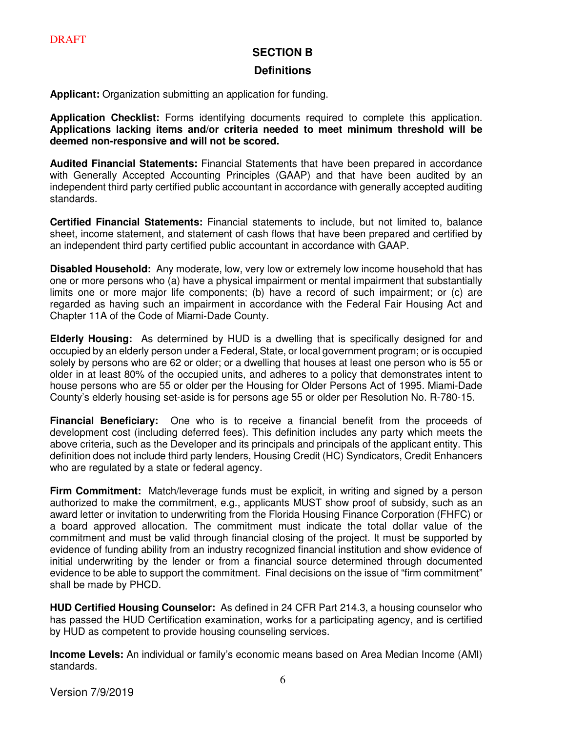#### **SECTION B**

#### **Definitions**

**Applicant:** Organization submitting an application for funding.

**Application Checklist:** Forms identifying documents required to complete this application. **Applications lacking items and/or criteria needed to meet minimum threshold will be deemed non-responsive and will not be scored.** 

**Audited Financial Statements:** Financial Statements that have been prepared in accordance with Generally Accepted Accounting Principles (GAAP) and that have been audited by an independent third party certified public accountant in accordance with generally accepted auditing standards.

**Certified Financial Statements:** Financial statements to include, but not limited to, balance sheet, income statement, and statement of cash flows that have been prepared and certified by an independent third party certified public accountant in accordance with GAAP.

**Disabled Household:** Any moderate, low, very low or extremely low income household that has one or more persons who (a) have a physical impairment or mental impairment that substantially limits one or more major life components; (b) have a record of such impairment; or (c) are regarded as having such an impairment in accordance with the Federal Fair Housing Act and Chapter 11A of the Code of Miami-Dade County.

**Elderly Housing:** As determined by HUD is a dwelling that is specifically designed for and occupied by an elderly person under a Federal, State, or local government program; or is occupied solely by persons who are 62 or older; or a dwelling that houses at least one person who is 55 or older in at least 80% of the occupied units, and adheres to a policy that demonstrates intent to house persons who are 55 or older per the Housing for Older Persons Act of 1995. Miami-Dade County's elderly housing set-aside is for persons age 55 or older per Resolution No. R-780-15.

**Financial Beneficiary:** One who is to receive a financial benefit from the proceeds of development cost (including deferred fees). This definition includes any party which meets the above criteria, such as the Developer and its principals and principals of the applicant entity. This definition does not include third party lenders, Housing Credit (HC) Syndicators, Credit Enhancers who are regulated by a state or federal agency.

**Firm Commitment:** Match/leverage funds must be explicit, in writing and signed by a person authorized to make the commitment, e.g., applicants MUST show proof of subsidy, such as an award letter or invitation to underwriting from the Florida Housing Finance Corporation (FHFC) or a board approved allocation. The commitment must indicate the total dollar value of the commitment and must be valid through financial closing of the project. It must be supported by evidence of funding ability from an industry recognized financial institution and show evidence of initial underwriting by the lender or from a financial source determined through documented evidence to be able to support the commitment. Final decisions on the issue of "firm commitment" shall be made by PHCD.

**HUD Certified Housing Counselor:** As defined in 24 CFR Part 214.3, a housing counselor who has passed the HUD Certification examination, works for a participating agency, and is certified by HUD as competent to provide housing counseling services.

**Income Levels:** An individual or family's economic means based on Area Median Income (AMI) standards.

Version 7/9/2019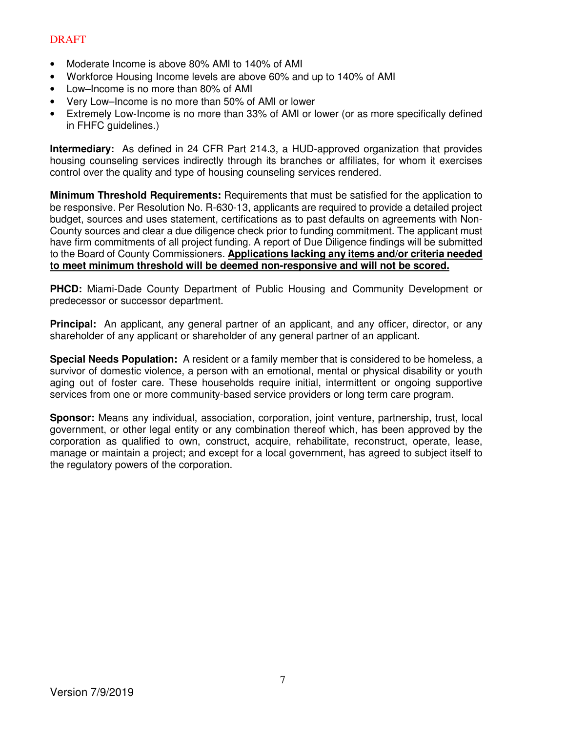- Moderate Income is above 80% AMI to 140% of AMI
- Workforce Housing Income levels are above 60% and up to 140% of AMI
- Low–Income is no more than 80% of AMI
- Very Low–Income is no more than 50% of AMI or lower
- Extremely Low-Income is no more than 33% of AMI or lower (or as more specifically defined in FHFC guidelines.)

**Intermediary:** As defined in 24 CFR Part 214.3, a HUD-approved organization that provides housing counseling services indirectly through its branches or affiliates, for whom it exercises control over the quality and type of housing counseling services rendered.

**Minimum Threshold Requirements:** Requirements that must be satisfied for the application to be responsive. Per Resolution No. R-630-13, applicants are required to provide a detailed project budget, sources and uses statement, certifications as to past defaults on agreements with Non-County sources and clear a due diligence check prior to funding commitment. The applicant must have firm commitments of all project funding. A report of Due Diligence findings will be submitted to the Board of County Commissioners. **Applications lacking any items and/or criteria needed to meet minimum threshold will be deemed non-responsive and will not be scored.** 

**PHCD:** Miami-Dade County Department of Public Housing and Community Development or predecessor or successor department.

**Principal:** An applicant, any general partner of an applicant, and any officer, director, or any shareholder of any applicant or shareholder of any general partner of an applicant.

**Special Needs Population:** A resident or a family member that is considered to be homeless, a survivor of domestic violence, a person with an emotional, mental or physical disability or youth aging out of foster care. These households require initial, intermittent or ongoing supportive services from one or more community-based service providers or long term care program.

**Sponsor:** Means any individual, association, corporation, joint venture, partnership, trust, local government, or other legal entity or any combination thereof which, has been approved by the corporation as qualified to own, construct, acquire, rehabilitate, reconstruct, operate, lease, manage or maintain a project; and except for a local government, has agreed to subject itself to the regulatory powers of the corporation.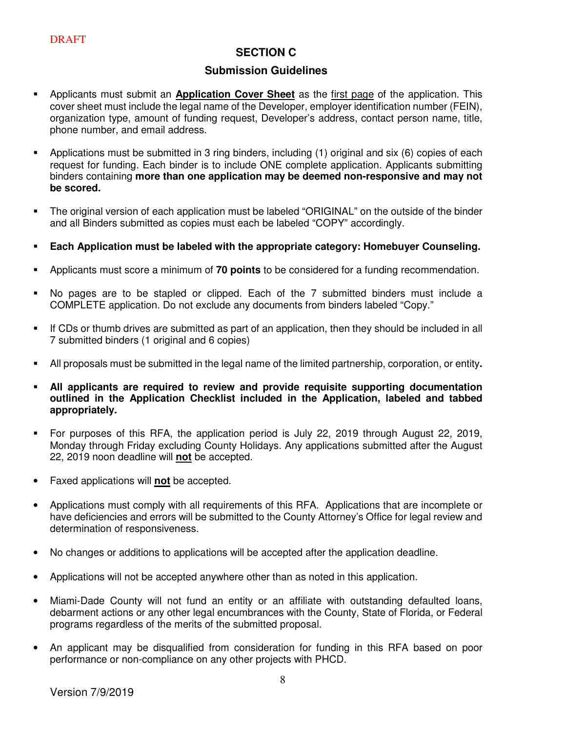## **SECTION C**

### **Submission Guidelines**

- Applicants must submit an **Application Cover Sheet** as the first page of the application. This cover sheet must include the legal name of the Developer, employer identification number (FEIN), organization type, amount of funding request, Developer's address, contact person name, title, phone number, and email address.
- Applications must be submitted in 3 ring binders, including (1) original and six (6) copies of each request for funding. Each binder is to include ONE complete application. Applicants submitting binders containing **more than one application may be deemed non-responsive and may not be scored.**
- The original version of each application must be labeled "ORIGINAL" on the outside of the binder and all Binders submitted as copies must each be labeled "COPY" accordingly.
- **Each Application must be labeled with the appropriate category: Homebuyer Counseling.**
- Applicants must score a minimum of **70 points** to be considered for a funding recommendation.
- No pages are to be stapled or clipped. Each of the 7 submitted binders must include a COMPLETE application. Do not exclude any documents from binders labeled "Copy."
- If CDs or thumb drives are submitted as part of an application, then they should be included in all 7 submitted binders (1 original and 6 copies)
- All proposals must be submitted in the legal name of the limited partnership, corporation, or entity**.**
- **All applicants are required to review and provide requisite supporting documentation outlined in the Application Checklist included in the Application, labeled and tabbed appropriately.**
- For purposes of this RFA, the application period is July 22, 2019 through August 22, 2019, Monday through Friday excluding County Holidays. Any applications submitted after the August 22, 2019 noon deadline will **not** be accepted.
- Faxed applications will **not** be accepted.
- Applications must comply with all requirements of this RFA. Applications that are incomplete or have deficiencies and errors will be submitted to the County Attorney's Office for legal review and determination of responsiveness.
- No changes or additions to applications will be accepted after the application deadline.
- Applications will not be accepted anywhere other than as noted in this application.
- Miami-Dade County will not fund an entity or an affiliate with outstanding defaulted loans, debarment actions or any other legal encumbrances with the County, State of Florida, or Federal programs regardless of the merits of the submitted proposal.
- An applicant may be disqualified from consideration for funding in this RFA based on poor performance or non-compliance on any other projects with PHCD.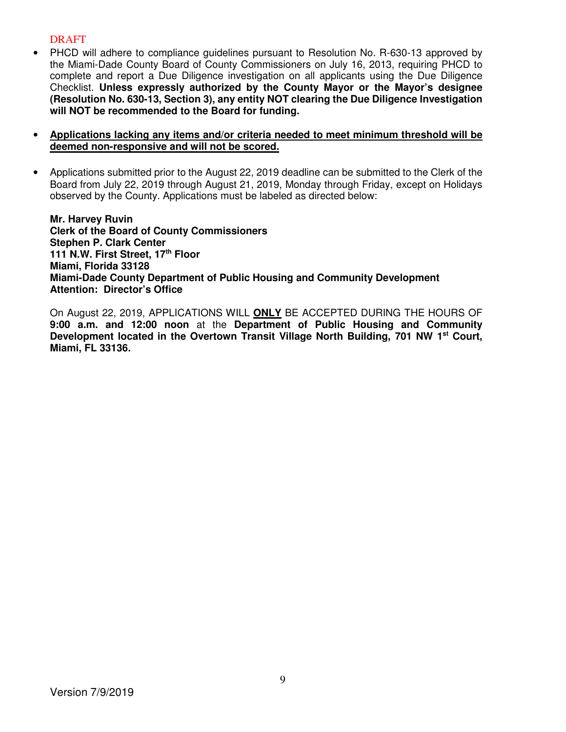- PHCD will adhere to compliance quidelines pursuant to Resolution No. R-630-13 approved by the Miami-Dade County Board of County Commissioners on July 16, 2013, requiring PHCD to complete and report a Due Diligence investigation on all applicants using the Due Diligence Checklist. **Unless expressly authorized by the County Mayor or the Mayor's designee (Resolution No. 630-13, Section 3), any entity NOT clearing the Due Diligence Investigation will NOT be recommended to the Board for funding.**
- **Applications lacking any items and/or criteria needed to meet minimum threshold will be deemed non-responsive and will not be scored.**
- Applications submitted prior to the August 22, 2019 deadline can be submitted to the Clerk of the Board from July 22, 2019 through August 21, 2019, Monday through Friday, except on Holidays observed by the County. Applications must be labeled as directed below:

**Mr. Harvey Ruvin Clerk of the Board of County Commissioners Stephen P. Clark Center 111 N.W. First Street, 17th Floor Miami, Florida 33128 Miami-Dade County Department of Public Housing and Community Development Attention: Director's Office** 

On August 22, 2019, APPLICATIONS WILL **ONLY** BE ACCEPTED DURING THE HOURS OF **9:00 a.m. and 12:00 noon** at the **Department of Public Housing and Community Development located in the Overtown Transit Village North Building, 701 NW 1st Court, Miami, FL 33136.**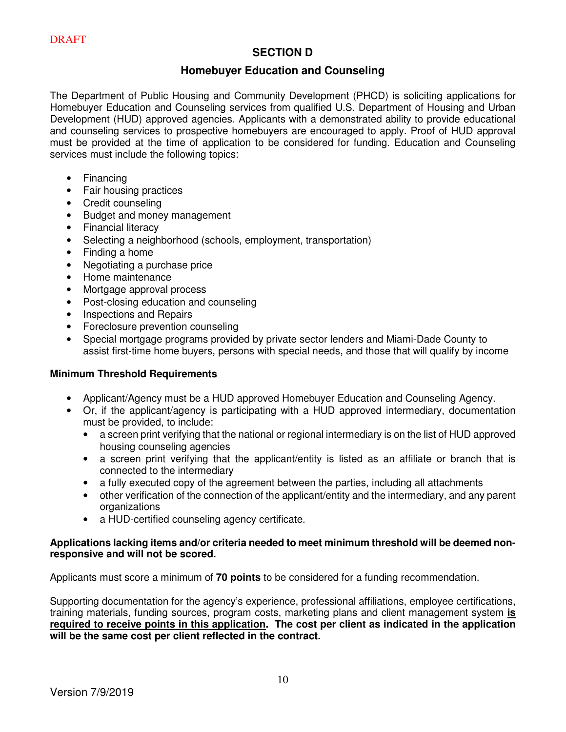## **SECTION D**

## **Homebuyer Education and Counseling**

The Department of Public Housing and Community Development (PHCD) is soliciting applications for Homebuyer Education and Counseling services from qualified U.S. Department of Housing and Urban Development (HUD) approved agencies. Applicants with a demonstrated ability to provide educational and counseling services to prospective homebuyers are encouraged to apply. Proof of HUD approval must be provided at the time of application to be considered for funding. Education and Counseling services must include the following topics:

- Financing
- Fair housing practices
- Credit counseling
- Budget and money management
- Financial literacy
- Selecting a neighborhood (schools, employment, transportation)
- Finding a home
- Negotiating a purchase price
- Home maintenance
- Mortgage approval process
- Post-closing education and counseling
- Inspections and Repairs
- Foreclosure prevention counseling
- Special mortgage programs provided by private sector lenders and Miami-Dade County to assist first-time home buyers, persons with special needs, and those that will qualify by income

#### **Minimum Threshold Requirements**

- Applicant/Agency must be a HUD approved Homebuyer Education and Counseling Agency.
- Or, if the applicant/agency is participating with a HUD approved intermediary, documentation must be provided, to include:
	- a screen print verifying that the national or regional intermediary is on the list of HUD approved housing counseling agencies
	- a screen print verifying that the applicant/entity is listed as an affiliate or branch that is connected to the intermediary
	- a fully executed copy of the agreement between the parties, including all attachments
	- other verification of the connection of the applicant/entity and the intermediary, and any parent organizations
	- a HUD-certified counseling agency certificate.

#### **Applications lacking items and/or criteria needed to meet minimum threshold will be deemed nonresponsive and will not be scored.**

Applicants must score a minimum of **70 points** to be considered for a funding recommendation.

Supporting documentation for the agency's experience, professional affiliations, employee certifications, training materials, funding sources, program costs, marketing plans and client management system **is required to receive points in this application. The cost per client as indicated in the application will be the same cost per client reflected in the contract.**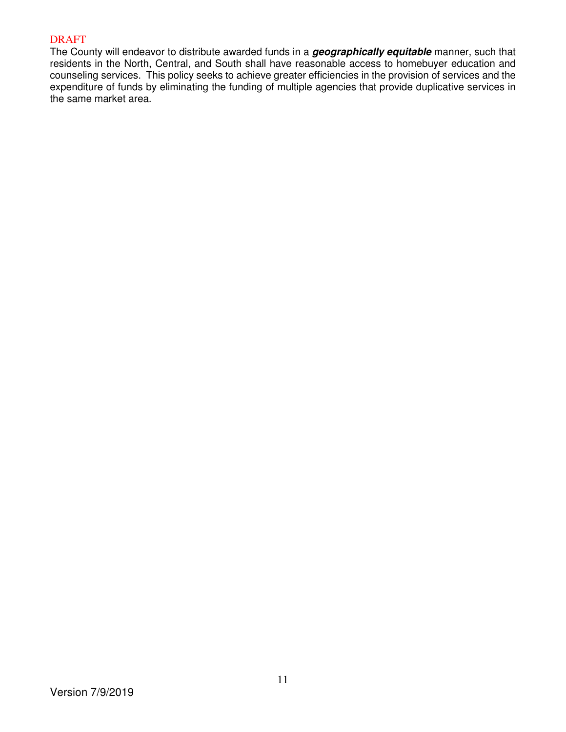The County will endeavor to distribute awarded funds in a **geographically equitable** manner, such that residents in the North, Central, and South shall have reasonable access to homebuyer education and counseling services. This policy seeks to achieve greater efficiencies in the provision of services and the expenditure of funds by eliminating the funding of multiple agencies that provide duplicative services in the same market area.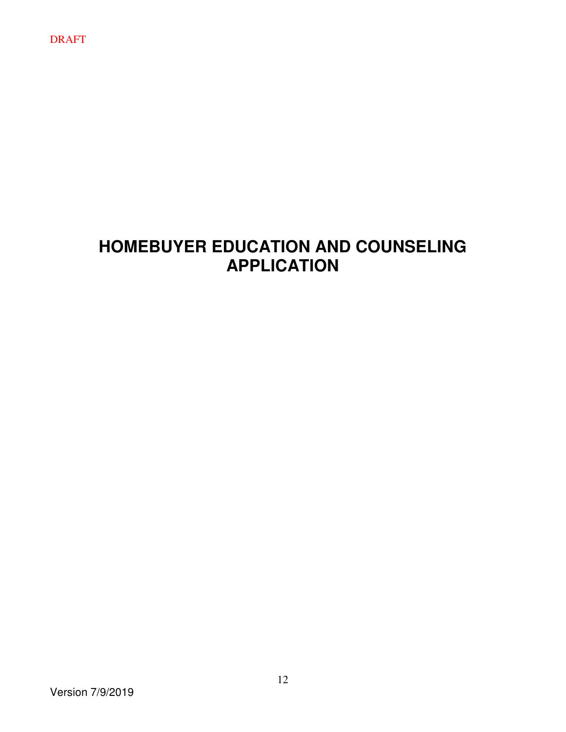# **HOMEBUYER EDUCATION AND COUNSELING APPLICATION**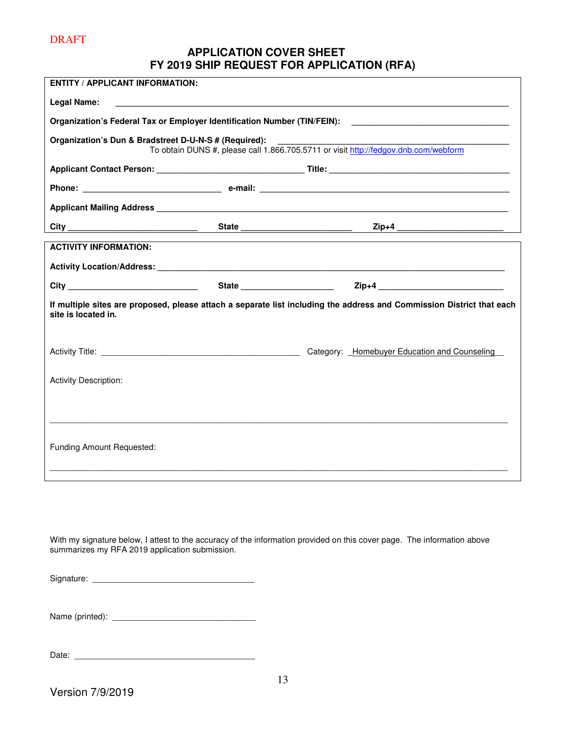## **APPLICATION COVER SHEET FY 2019 SHIP REQUEST FOR APPLICATION (RFA)**

| <b>ENTITY / APPLICANT INFORMATION:</b>                |                                                                                                                       |
|-------------------------------------------------------|-----------------------------------------------------------------------------------------------------------------------|
| <b>Legal Name:</b>                                    |                                                                                                                       |
|                                                       | Organization's Federal Tax or Employer Identification Number (TIN/FEIN): ___________________________                  |
| Organization's Dun & Bradstreet D-U-N-S # (Required): | To obtain DUNS #, please call 1.866.705.5711 or visit http://fedgov.dnb.com/webform                                   |
|                                                       |                                                                                                                       |
|                                                       |                                                                                                                       |
|                                                       |                                                                                                                       |
|                                                       | City ______________________________  State ________________________  Zip+4 ________________________                   |
| <b>ACTIVITY INFORMATION:</b>                          |                                                                                                                       |
|                                                       |                                                                                                                       |
|                                                       | City ____________________________  State ____________________  Zip+4 ______________________________                   |
| site is located in.                                   | If multiple sites are proposed, please attach a separate list including the address and Commission District that each |
|                                                       |                                                                                                                       |
| <b>Activity Description:</b>                          |                                                                                                                       |
|                                                       |                                                                                                                       |
|                                                       |                                                                                                                       |
| Funding Amount Requested:                             |                                                                                                                       |
|                                                       |                                                                                                                       |

With my signature below, I attest to the accuracy of the information provided on this cover page. The information above summarizes my RFA 2019 application submission.

| Signature: |  |
|------------|--|
|            |  |

Name (printed): \_\_\_\_\_\_\_\_\_\_\_\_\_\_\_\_\_\_\_\_\_\_\_\_\_\_\_\_\_\_\_

Date: \_\_\_\_\_\_\_\_\_\_\_\_\_\_\_\_\_\_\_\_\_\_\_\_\_\_\_\_\_\_\_\_\_\_\_\_\_\_\_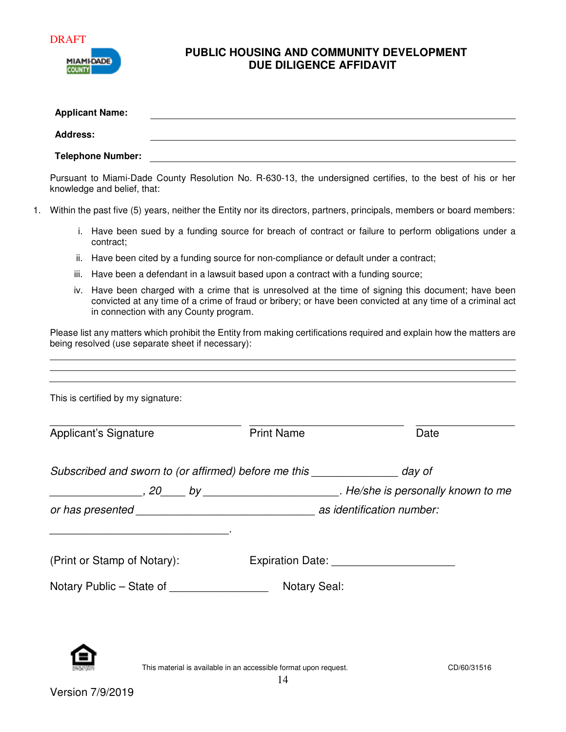



## **PUBLIC HOUSING AND COMMUNITY DEVELOPMENT DUE DILIGENCE AFFIDAVIT**

|                 |      | <b>Applicant Name:</b>                 |                                                                                     |                                                                                                                                                                                                                     |
|-----------------|------|----------------------------------------|-------------------------------------------------------------------------------------|---------------------------------------------------------------------------------------------------------------------------------------------------------------------------------------------------------------------|
| <b>Address:</b> |      |                                        |                                                                                     |                                                                                                                                                                                                                     |
|                 |      | <b>Telephone Number:</b>               | <u> 1989 - Johann Stoff, fransk politik (f. 1989)</u>                               |                                                                                                                                                                                                                     |
|                 |      | knowledge and belief, that:            |                                                                                     | Pursuant to Miami-Dade County Resolution No. R-630-13, the undersigned certifies, to the best of his or her                                                                                                         |
|                 |      |                                        |                                                                                     | Within the past five (5) years, neither the Entity nor its directors, partners, principals, members or board members:                                                                                               |
|                 |      | contract;                              |                                                                                     | i. Have been sued by a funding source for breach of contract or failure to perform obligations under a                                                                                                              |
|                 | ii.  |                                        | Have been cited by a funding source for non-compliance or default under a contract; |                                                                                                                                                                                                                     |
|                 | iii. |                                        | Have been a defendant in a lawsuit based upon a contract with a funding source;     |                                                                                                                                                                                                                     |
|                 |      | in connection with any County program. |                                                                                     | iv. Have been charged with a crime that is unresolved at the time of signing this document; have been<br>convicted at any time of a crime of fraud or bribery; or have been convicted at any time of a criminal act |
|                 |      |                                        |                                                                                     |                                                                                                                                                                                                                     |
|                 |      | This is certified by my signature:     |                                                                                     |                                                                                                                                                                                                                     |
|                 |      | Applicant's Signature                  | <b>Print Name</b>                                                                   | Date                                                                                                                                                                                                                |
|                 |      |                                        | Subscribed and sworn to (or affirmed) before me this ________________ day of        |                                                                                                                                                                                                                     |
|                 |      |                                        |                                                                                     |                                                                                                                                                                                                                     |
|                 |      |                                        |                                                                                     |                                                                                                                                                                                                                     |
|                 |      | (Print or Stamp of Notary):            |                                                                                     | Expiration Date: ________________________                                                                                                                                                                           |



This material is available in an accessible format upon request. CD/60/31516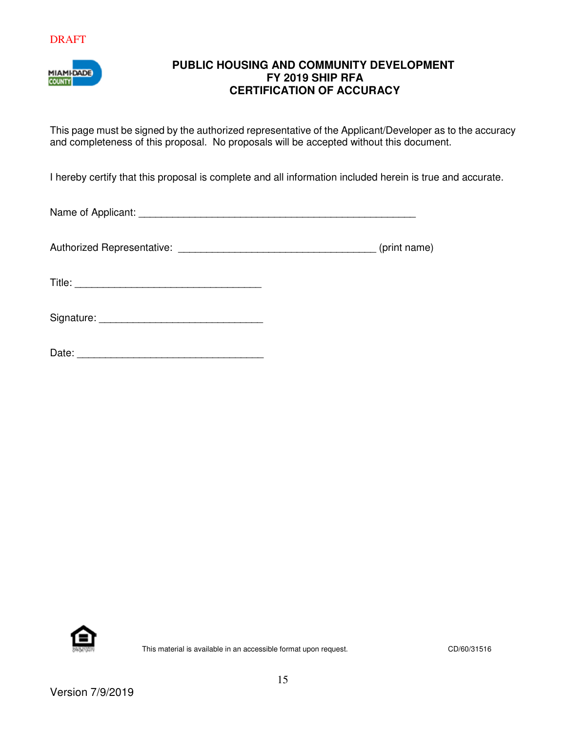

## **PUBLIC HOUSING AND COMMUNITY DEVELOPMENT FY 2019 SHIP RFA CERTIFICATION OF ACCURACY**

This page must be signed by the authorized representative of the Applicant/Developer as to the accuracy and completeness of this proposal. No proposals will be accepted without this document.

I hereby certify that this proposal is complete and all information included herein is true and accurate.

Name of Applicant: \_\_\_\_\_\_\_\_\_\_\_\_\_\_\_\_\_\_\_\_\_\_\_\_\_\_\_\_\_\_\_\_\_\_\_\_\_\_\_\_\_\_\_\_\_\_\_\_\_

Authorized Representative: \_\_\_\_\_\_\_\_\_\_\_\_\_\_\_\_\_\_\_\_\_\_\_\_\_\_\_\_\_\_\_\_\_\_\_ (print name)

Title: \_\_\_\_\_\_\_\_\_\_\_\_\_\_\_\_\_\_\_\_\_\_\_\_\_\_\_\_\_\_\_\_\_

| Signature: |  |  |  |  |
|------------|--|--|--|--|
|            |  |  |  |  |

| Date:<br>$- - -$ |  |  |  |  |
|------------------|--|--|--|--|
|                  |  |  |  |  |

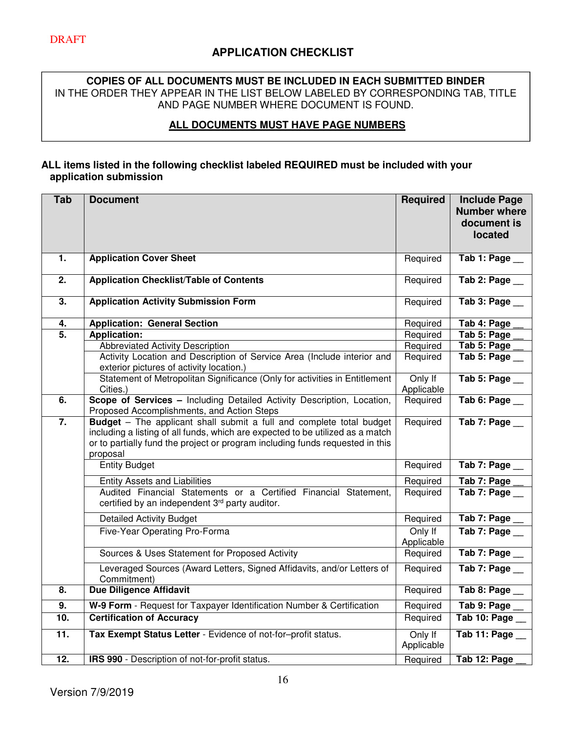#### **COPIES OF ALL DOCUMENTS MUST BE INCLUDED IN EACH SUBMITTED BINDER** IN THE ORDER THEY APPEAR IN THE LIST BELOW LABELED BY CORRESPONDING TAB, TITLE AND PAGE NUMBER WHERE DOCUMENT IS FOUND.

## **ALL DOCUMENTS MUST HAVE PAGE NUMBERS**

#### **ALL items listed in the following checklist labeled REQUIRED must be included with your application submission**

| <b>Tab</b>        | <b>Document</b>                                                                                                                                                                                                                                            | <b>Required</b>       | <b>Include Page</b><br><b>Number where</b><br>document is<br>located |
|-------------------|------------------------------------------------------------------------------------------------------------------------------------------------------------------------------------------------------------------------------------------------------------|-----------------------|----------------------------------------------------------------------|
| 1.                | <b>Application Cover Sheet</b>                                                                                                                                                                                                                             | Required              | Tab 1: Page                                                          |
| $\overline{2}$ .  | <b>Application Checklist/Table of Contents</b>                                                                                                                                                                                                             | Required              | $\overline{\mathsf{Tab}}$ 2: Page $\overline{\phantom{a}}$           |
| $\overline{3}$ .  | <b>Application Activity Submission Form</b>                                                                                                                                                                                                                | Required              | Tab 3: Page __                                                       |
| 4.                | <b>Application: General Section</b>                                                                                                                                                                                                                        | Required              | Tab 4: Page                                                          |
| $\overline{5}$ .  | <b>Application:</b>                                                                                                                                                                                                                                        | Required              | Tab 5: Page                                                          |
|                   | Abbreviated Activity Description                                                                                                                                                                                                                           | Required              | Tab 5: Page                                                          |
|                   | Activity Location and Description of Service Area (Include interior and<br>exterior pictures of activity location.)                                                                                                                                        | Required              | Tab 5: Page                                                          |
|                   | Statement of Metropolitan Significance (Only for activities in Entitlement                                                                                                                                                                                 | Only If               | Tab 5: Page                                                          |
|                   | Cities.)                                                                                                                                                                                                                                                   | Applicable            |                                                                      |
| $\overline{6}$ .  | Scope of Services - Including Detailed Activity Description, Location,<br>Proposed Accomplishments, and Action Steps                                                                                                                                       | Required              | Tab 6: Page                                                          |
| 7.                | <b>Budget</b> - The applicant shall submit a full and complete total budget<br>including a listing of all funds, which are expected to be utilized as a match<br>or to partially fund the project or program including funds requested in this<br>proposal | Required              | Tab 7: Page                                                          |
|                   | <b>Entity Budget</b>                                                                                                                                                                                                                                       | Required              | Tab 7: Page                                                          |
|                   | <b>Entity Assets and Liabilities</b>                                                                                                                                                                                                                       | Required              | Tab 7: Page                                                          |
|                   | Audited Financial Statements or a Certified Financial Statement,<br>certified by an independent 3rd party auditor.                                                                                                                                         | Required              | Tab 7: Page                                                          |
|                   | <b>Detailed Activity Budget</b>                                                                                                                                                                                                                            | Required              | Tab 7: Page                                                          |
|                   | Five-Year Operating Pro-Forma                                                                                                                                                                                                                              | Only If<br>Applicable | Tab 7: Page                                                          |
|                   | Sources & Uses Statement for Proposed Activity                                                                                                                                                                                                             | Required              | Tab 7: Page                                                          |
|                   | Leveraged Sources (Award Letters, Signed Affidavits, and/or Letters of<br>Commitment)                                                                                                                                                                      | Required              | $\overline{\mathsf{Tab}\ 7:}\mathsf{Page}\_$                         |
| 8.                | <b>Due Diligence Affidavit</b>                                                                                                                                                                                                                             | Required              | Tab 8: Page                                                          |
| 9.                | W-9 Form - Request for Taxpayer Identification Number & Certification                                                                                                                                                                                      | Required              | Tab 9: Page                                                          |
| 10.               | <b>Certification of Accuracy</b>                                                                                                                                                                                                                           | Required              | Tab 10: Page                                                         |
| $\overline{11}$ . | Tax Exempt Status Letter - Evidence of not-for-profit status.                                                                                                                                                                                              | Only If<br>Applicable | Tab 11: Page                                                         |
| 12.               | IRS 990 - Description of not-for-profit status.                                                                                                                                                                                                            | Required              | Tab 12: Page                                                         |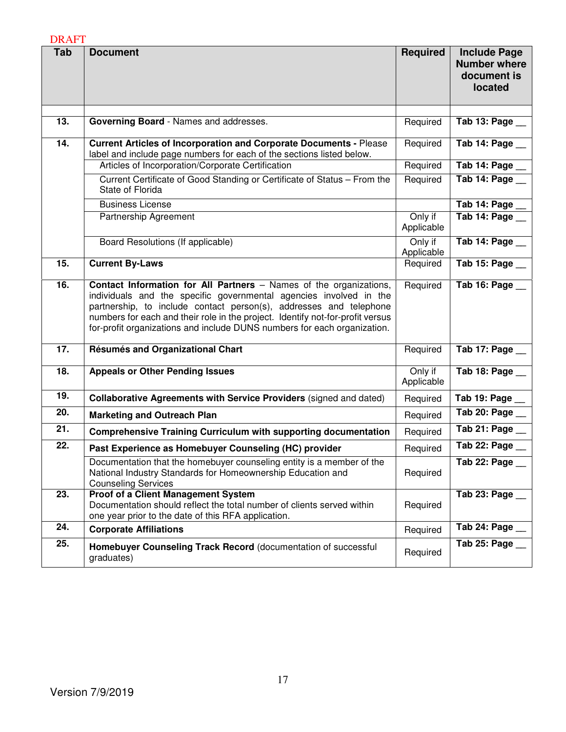| Tab               | <b>Document</b>                                                                                                                                                                                                                                                                                                                                                                     | <b>Required</b>       | <b>Include Page</b><br><b>Number where</b><br>document is<br>located |
|-------------------|-------------------------------------------------------------------------------------------------------------------------------------------------------------------------------------------------------------------------------------------------------------------------------------------------------------------------------------------------------------------------------------|-----------------------|----------------------------------------------------------------------|
|                   |                                                                                                                                                                                                                                                                                                                                                                                     |                       |                                                                      |
| 13.               | Governing Board - Names and addresses.                                                                                                                                                                                                                                                                                                                                              | Required              | Tab 13: Page                                                         |
| $\overline{14}$ . | <b>Current Articles of Incorporation and Corporate Documents - Please</b><br>label and include page numbers for each of the sections listed below.                                                                                                                                                                                                                                  | Required              | Tab 14: Page                                                         |
|                   | Articles of Incorporation/Corporate Certification                                                                                                                                                                                                                                                                                                                                   | Required              | Tab 14: Page                                                         |
|                   | Current Certificate of Good Standing or Certificate of Status - From the<br>State of Florida                                                                                                                                                                                                                                                                                        | Required              | Tab 14: Page __                                                      |
|                   | <b>Business License</b>                                                                                                                                                                                                                                                                                                                                                             |                       | Tab 14: Page                                                         |
|                   | Partnership Agreement                                                                                                                                                                                                                                                                                                                                                               | Only if<br>Applicable | Tab 14: Page                                                         |
|                   | Board Resolutions (If applicable)                                                                                                                                                                                                                                                                                                                                                   | Only if<br>Applicable | Tab 14: Page __                                                      |
| 15.               | <b>Current By-Laws</b>                                                                                                                                                                                                                                                                                                                                                              | Required              | Tab 15: Page __                                                      |
| 16.               | <b>Contact Information for All Partners</b> - Names of the organizations,<br>individuals and the specific governmental agencies involved in the<br>partnership, to include contact person(s), addresses and telephone<br>numbers for each and their role in the project. Identify not-for-profit versus<br>for-profit organizations and include DUNS numbers for each organization. | Required              | Tab 16: Page __                                                      |
| 17.               | Résumés and Organizational Chart                                                                                                                                                                                                                                                                                                                                                    | Required              | Tab 17: Page __                                                      |
| 18.               | <b>Appeals or Other Pending Issues</b>                                                                                                                                                                                                                                                                                                                                              | Only if<br>Applicable | Tab 18: Page __                                                      |
| 19.               | Collaborative Agreements with Service Providers (signed and dated)                                                                                                                                                                                                                                                                                                                  | Required              | Tab 19: Page __                                                      |
| 20.               | <b>Marketing and Outreach Plan</b>                                                                                                                                                                                                                                                                                                                                                  | Required              | Tab 20: Page __                                                      |
| $\overline{21}$ . | <b>Comprehensive Training Curriculum with supporting documentation</b>                                                                                                                                                                                                                                                                                                              | Required              | Tab 21: Page __                                                      |
| 22.               | Past Experience as Homebuyer Counseling (HC) provider                                                                                                                                                                                                                                                                                                                               | Required              | Tab 22: Page                                                         |
|                   | Documentation that the homebuyer counseling entity is a member of the<br>National Industry Standards for Homeownership Education and<br><b>Counseling Services</b>                                                                                                                                                                                                                  | Required              | Tab 22: Page __                                                      |
| 23.               | Proof of a Client Management System<br>Documentation should reflect the total number of clients served within<br>one year prior to the date of this RFA application.                                                                                                                                                                                                                | Required              | Tab 23: Page __                                                      |
| 24.               | <b>Corporate Affiliations</b>                                                                                                                                                                                                                                                                                                                                                       | Required              | Tab 24: Page                                                         |
| 25.               | Homebuyer Counseling Track Record (documentation of successful<br>graduates)                                                                                                                                                                                                                                                                                                        | Required              | Tab 25: Page __                                                      |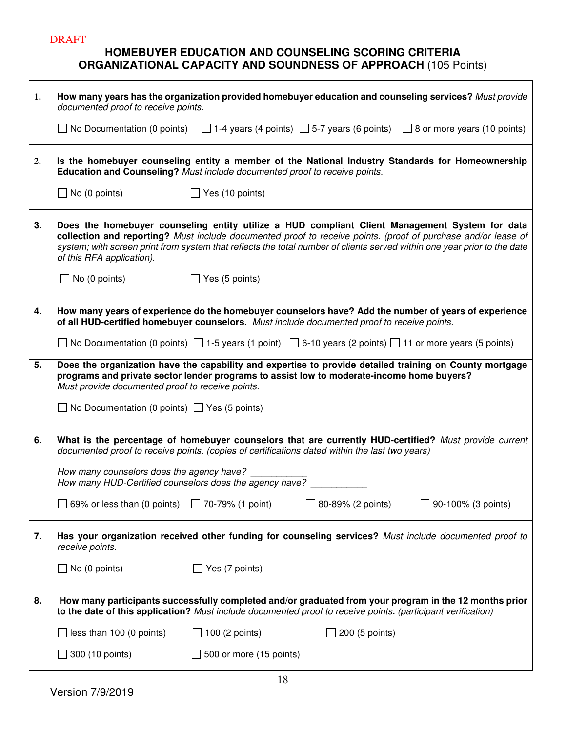## **HOMEBUYER EDUCATION AND COUNSELING SCORING CRITERIA ORGANIZATIONAL CAPACITY AND SOUNDNESS OF APPROACH** (105 Points)

| 1. | How many years has the organization provided homebuyer education and counseling services? Must provide<br>documented proof to receive points.                                                                                                                                                                                                                            |
|----|--------------------------------------------------------------------------------------------------------------------------------------------------------------------------------------------------------------------------------------------------------------------------------------------------------------------------------------------------------------------------|
|    | No Documentation (0 points) $\Box$ 1-4 years (4 points) $\Box$ 5-7 years (6 points) $\Box$ 8 or more years (10 points)                                                                                                                                                                                                                                                   |
| 2. | Is the homebuyer counseling entity a member of the National Industry Standards for Homeownership<br>Education and Counseling? Must include documented proof to receive points.                                                                                                                                                                                           |
|    | $\Box$ No (0 points)<br>$\Box$ Yes (10 points)                                                                                                                                                                                                                                                                                                                           |
| 3. | Does the homebuyer counseling entity utilize a HUD compliant Client Management System for data<br>collection and reporting? Must include documented proof to receive points. (proof of purchase and/or lease of<br>system; with screen print from system that reflects the total number of clients served within one year prior to the date<br>of this RFA application). |
|    | $\Box$ Yes (5 points)<br>$\Box$ No (0 points)                                                                                                                                                                                                                                                                                                                            |
| 4. | How many years of experience do the homebuyer counselors have? Add the number of years of experience<br>of all HUD-certified homebuyer counselors. Must include documented proof to receive points.                                                                                                                                                                      |
|    | ◯ No Documentation (0 points) ◯ 1-5 years (1 point) ◯ 6-10 years (2 points) ◯ 11 or more years (5 points)                                                                                                                                                                                                                                                                |
| 5. | Does the organization have the capability and expertise to provide detailed training on County mortgage<br>programs and private sector lender programs to assist low to moderate-income home buyers?<br>Must provide documented proof to receive points.                                                                                                                 |
|    | $\Box$ No Documentation (0 points) $\Box$ Yes (5 points)                                                                                                                                                                                                                                                                                                                 |
| 6. | What is the percentage of homebuyer counselors that are currently HUD-certified? Must provide current<br>documented proof to receive points. (copies of certifications dated within the last two years)                                                                                                                                                                  |
|    | How many counselors does the agency have?<br>How many HUD-Certified counselors does the agency have?                                                                                                                                                                                                                                                                     |
|    | 69% or less than (0 points) $\Box$ 70-79% (1 point)<br>80-89% (2 points)<br>90-100% (3 points)                                                                                                                                                                                                                                                                           |
| 7. | Has your organization received other funding for counseling services? Must include documented proof to<br>receive points.                                                                                                                                                                                                                                                |
|    | $\Box$ No (0 points)<br>$\Box$ Yes (7 points)                                                                                                                                                                                                                                                                                                                            |
| 8. | How many participants successfully completed and/or graduated from your program in the 12 months prior<br>to the date of this application? Must include documented proof to receive points. (participant verification)                                                                                                                                                   |
|    | less than 100 (0 points)<br>$\Box$ 100 (2 points)<br>200 (5 points)                                                                                                                                                                                                                                                                                                      |
|    | $\Box$ 300 (10 points)<br>500 or more (15 points)                                                                                                                                                                                                                                                                                                                        |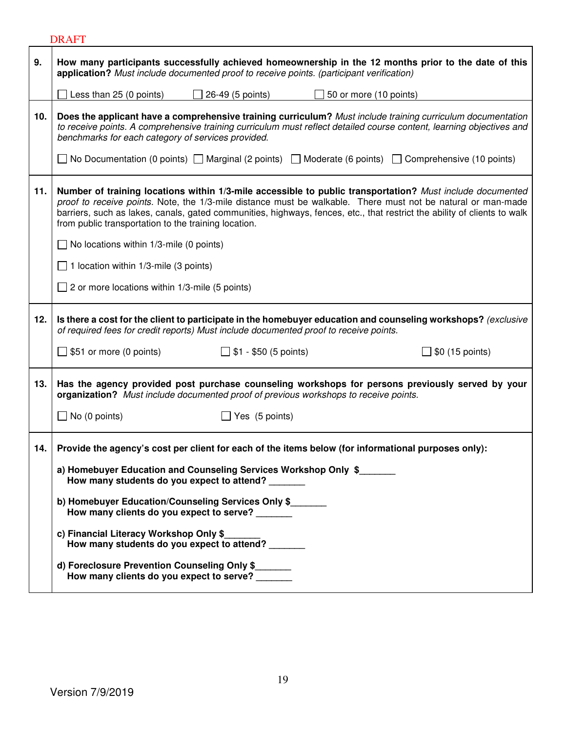|     | <b>DRAFT</b>                                                                                                                                                                                                                                                                                                                                                                                                    |
|-----|-----------------------------------------------------------------------------------------------------------------------------------------------------------------------------------------------------------------------------------------------------------------------------------------------------------------------------------------------------------------------------------------------------------------|
| 9.  | How many participants successfully achieved homeownership in the 12 months prior to the date of this<br>application? Must include documented proof to receive points. (participant verification)                                                                                                                                                                                                                |
|     | Less than 25 (0 points)<br>$\Box$ 26-49 (5 points)<br>$\Box$ 50 or more (10 points)                                                                                                                                                                                                                                                                                                                             |
| 10. | Does the applicant have a comprehensive training curriculum? Must include training curriculum documentation<br>to receive points. A comprehensive training curriculum must reflect detailed course content, learning objectives and<br>benchmarks for each category of services provided.<br>No Documentation (0 points) $\Box$ Marginal (2 points) $\Box$ Moderate (6 points) $\Box$ Comprehensive (10 points) |
|     |                                                                                                                                                                                                                                                                                                                                                                                                                 |
| 11. | Number of training locations within 1/3-mile accessible to public transportation? Must include documented<br>proof to receive points. Note, the 1/3-mile distance must be walkable. There must not be natural or man-made<br>barriers, such as lakes, canals, gated communities, highways, fences, etc., that restrict the ability of clients to walk<br>from public transportation to the training location.   |
|     | $\Box$ No locations within 1/3-mile (0 points)                                                                                                                                                                                                                                                                                                                                                                  |
|     | $\Box$ 1 location within 1/3-mile (3 points)                                                                                                                                                                                                                                                                                                                                                                    |
|     | $\Box$ 2 or more locations within 1/3-mile (5 points)                                                                                                                                                                                                                                                                                                                                                           |
| 12. | Is there a cost for the client to participate in the homebuyer education and counseling workshops? (exclusive<br>of required fees for credit reports) Must include documented proof to receive points.                                                                                                                                                                                                          |
|     | $\Box$ \$51 or more (0 points)<br>$\Box$ \$1 - \$50 (5 points)<br>$\Box$ \$0 (15 points)                                                                                                                                                                                                                                                                                                                        |
| 13. | Has the agency provided post purchase counseling workshops for persons previously served by your<br>organization? Must include documented proof of previous workshops to receive points.                                                                                                                                                                                                                        |
|     | $\Box$ No (0 points)<br>Yes (5 points)                                                                                                                                                                                                                                                                                                                                                                          |
| 14. | Provide the agency's cost per client for each of the items below (for informational purposes only):                                                                                                                                                                                                                                                                                                             |
|     | a) Homebuyer Education and Counseling Services Workshop Only \$<br>How many students do you expect to attend?                                                                                                                                                                                                                                                                                                   |
|     | b) Homebuyer Education/Counseling Services Only \$<br>How many clients do you expect to serve?                                                                                                                                                                                                                                                                                                                  |
|     | c) Financial Literacy Workshop Only \$<br>How many students do you expect to attend?                                                                                                                                                                                                                                                                                                                            |
|     | d) Foreclosure Prevention Counseling Only \$<br>How many clients do you expect to serve?                                                                                                                                                                                                                                                                                                                        |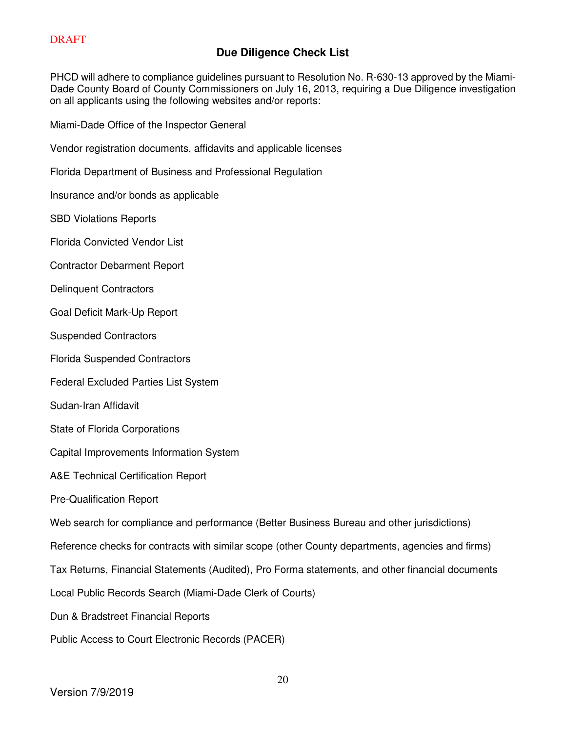## **Due Diligence Check List**

PHCD will adhere to compliance guidelines pursuant to Resolution No. R-630-13 approved by the Miami-Dade County Board of County Commissioners on July 16, 2013, requiring a Due Diligence investigation on all applicants using the following websites and/or reports:

Miami-Dade Office of the Inspector General

Vendor registration documents, affidavits and applicable licenses

Florida Department of Business and Professional Regulation

Insurance and/or bonds as applicable

SBD Violations Reports

Florida Convicted Vendor List

Contractor Debarment Report

Delinquent Contractors

Goal Deficit Mark-Up Report

Suspended Contractors

Florida Suspended Contractors

Federal Excluded Parties List System

- Sudan-Iran Affidavit
- State of Florida Corporations

Capital Improvements Information System

A&E Technical Certification Report

Pre-Qualification Report

Web search for compliance and performance (Better Business Bureau and other jurisdictions)

Reference checks for contracts with similar scope (other County departments, agencies and firms)

Tax Returns, Financial Statements (Audited), Pro Forma statements, and other financial documents

Local Public Records Search (Miami-Dade Clerk of Courts)

Dun & Bradstreet Financial Reports

Public Access to Court Electronic Records (PACER)